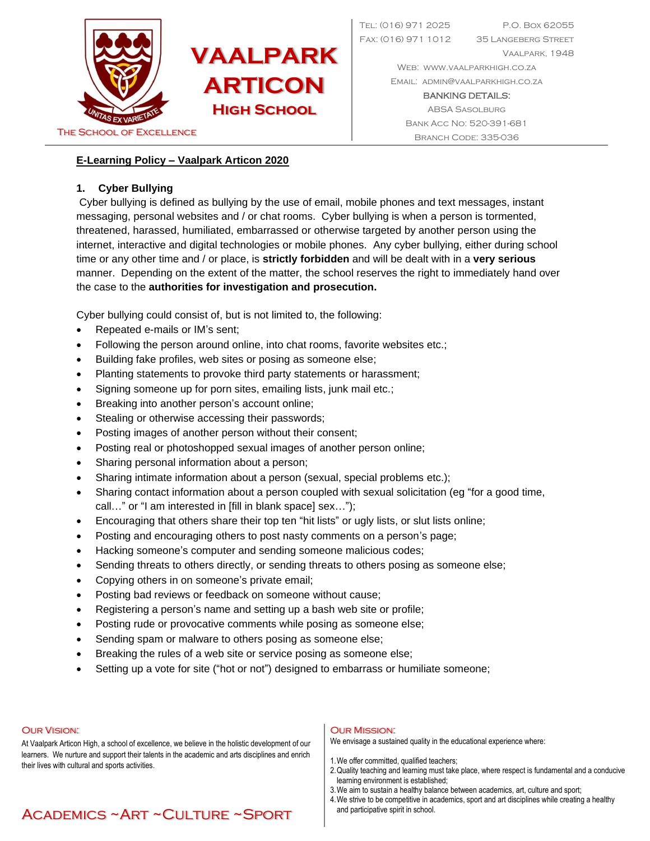

Tel: (016) 971 2025 P.O. Box 62055 Fax: (016) 971 1012 35 Langeberg Street Vaalpark, 1948

> WEB: WWW.VAALPARKHIGH.CO.ZA Email: [admin@vaalparkhigh.co.za](mailto:admin@vaalparkhigh.co.za)

BANKING DETAILS: ABSA Sasolburg Bank Acc No: 520-391-681

## **E-Learning Policy – Vaalpark Articon 2020**

## **1. Cyber Bullying**

Cyber bullying is defined as bullying by the use of email, mobile phones and text messages, instant messaging, personal websites and / or chat rooms. Cyber bullying is when a person is tormented, threatened, harassed, humiliated, embarrassed or otherwise targeted by another person using the internet, interactive and digital technologies or mobile phones. Any cyber bullying, either during school time or any other time and / or place, is **strictly forbidden** and will be dealt with in a **very serious** manner. Depending on the extent of the matter, the school reserves the right to immediately hand over the case to the **authorities for investigation and prosecution.**

Cyber bullying could consist of, but is not limited to, the following:

- Repeated e-mails or IM's sent;
- Following the person around online, into chat rooms, favorite websites etc.;
- Building fake profiles, web sites or posing as someone else;
- Planting statements to provoke third party statements or harassment;
- Signing someone up for porn sites, emailing lists, junk mail etc.;
- Breaking into another person's account online;
- Stealing or otherwise accessing their passwords;
- Posting images of another person without their consent;
- Posting real or photoshopped sexual images of another person online;
- Sharing personal information about a person;
- Sharing intimate information about a person (sexual, special problems etc.);
- Sharing contact information about a person coupled with sexual solicitation (eg "for a good time, call…" or "I am interested in [fill in blank space] sex…");
- Encouraging that others share their top ten "hit lists" or ugly lists, or slut lists online;
- Posting and encouraging others to post nasty comments on a person's page;
- Hacking someone's computer and sending someone malicious codes;
- Sending threats to others directly, or sending threats to others posing as someone else;
- Copying others in on someone's private email;
- Posting bad reviews or feedback on someone without cause;
- Registering a person's name and setting up a bash web site or profile;
- Posting rude or provocative comments while posing as someone else;
- Sending spam or malware to others posing as someone else;
- Breaking the rules of a web site or service posing as someone else;
- Setting up a vote for site ("hot or not") designed to embarrass or humiliate someone;

#### Our Vision:

At Vaalpark Articon High, a school of excellence, we believe in the holistic development of our learners. We nurture and support their talents in the academic and arts disciplines and enrich their lives with cultural and sports activities.

### Our Mission:

We envisage a sustained quality in the educational experience where:

- 1.We offer committed, qualified teachers;
- 2.Quality teaching and learning must take place, where respect is fundamental and a conducive learning environment is established;
- 3.We aim to sustain a healthy balance between academics, art, culture and sport;
- 4.We strive to be competitive in academics, sport and art disciplines while creating a healthy and participative spirit in school.

# Academics ~Art ~Culture ~Sport